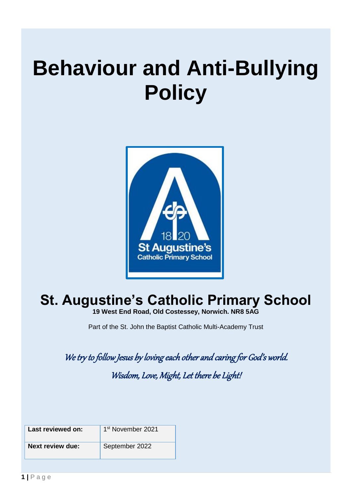## **Behaviour and Anti-Bullying Policy**



### **St. Augustine's Catholic Primary School**

**19 West End Road, Old Costessey, Norwich. NR8 5AG**

Part of the St. John the Baptist Catholic Multi-Academy Trust

We try to follow Jesus by loving each other and caring for God's world.

Wisdom, Love, Might, Let there be Light!

| Last reviewed on: | 1 <sup>st</sup> November 2021 |
|-------------------|-------------------------------|
| Next review due:  | September 2022                |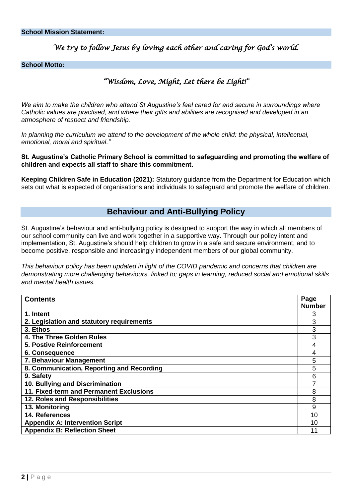#### *We try to follow Jesus by loving each other and caring for God's world.*

#### **School Motto:**

#### *"Wisdom, Love, Might, Let there be Light!"*

*We aim to make the children who attend St Augustine's feel cared for and secure in surroundings where Catholic values are practised, and where their gifts and abilities are recognised and developed in an atmosphere of respect and friendship.*

In planning the curriculum we attend to the development of the whole child: the physical, intellectual, *emotional, moral and spiritual."*

**St. Augustine's Catholic Primary School is committed to safeguarding and promoting the welfare of children and expects all staff to share this commitment.** 

**Keeping Children Safe in Education (2021):** Statutory guidance from the Department for Education which sets out what is expected of organisations and individuals to safeguard and promote the welfare of children.

#### **Behaviour and Anti-Bullying Policy**

St. Augustine's behaviour and anti-bullying policy is designed to support the way in which all members of our school community can live and work together in a supportive way. Through our policy intent and implementation, St. Augustine's should help children to grow in a safe and secure environment, and to become positive, responsible and increasingly independent members of our global community.

*This behaviour policy has been updated in light of the COVID pandemic and concerns that children are demonstrating more challenging behaviours, linked to; gaps in learning, reduced social and emotional skills and mental health issues.*

| <b>Contents</b>                           | Page          |
|-------------------------------------------|---------------|
|                                           | <b>Number</b> |
| 1. Intent                                 | 3             |
| 2. Legislation and statutory requirements | 3             |
| 3. Ethos                                  | 3             |
| 4. The Three Golden Rules                 | 3             |
| <b>5. Postive Reinforcement</b>           | 4             |
| 6. Consequence                            | 4             |
| 7. Behaviour Management                   | 5             |
| 8. Communication, Reporting and Recording | 5             |
| 9. Safety                                 | 6             |
| 10. Bullying and Discrimination           |               |
| 11. Fixed-term and Permanent Exclusions   |               |
| 12. Roles and Responsibilities            | 8             |
| 13. Monitoring                            | 9             |
| 14. References                            | 10            |
| <b>Appendix A: Intervention Script</b>    | 10            |
| <b>Appendix B: Reflection Sheet</b>       | 11            |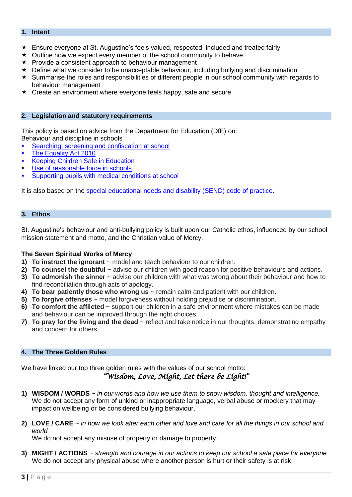#### **1. Intent**

- Ensure everyone at St. Augustine's feels valued, respected, included and treated fairly
- $\star$  Outline how we expect every member of the school community to behave
- $\star$  Provide a consistent approach to behaviour management
- $\star$  Define what we consider to be unacceptable behaviour, including bullying and discrimination
- $\star$  Summarise the roles and responsibilities of different people in our school community with regards to behaviour management
- $\star$  Create an environment where everyone feels happy, safe and secure.

#### **2. Legislation and statutory requirements**

This policy is based on advice from the Department for Education (DfE) on: Behaviour and discipline in schools

- Searching, screening and confiscation at school
- [The Equality Act 2010](https://www.gov.uk/government/publications/equality-act-2010-advice-for-schools)
- [Keeping Children Safe in Education](https://www.gov.uk/government/publications/keeping-children-safe-in-education--2)
- [Use of reasonable force in schools](https://www.gov.uk/government/publications/use-of-reasonable-force-in-schools)
- [Supporting pupils with medical conditions at school](https://www.gov.uk/government/publications/supporting-pupils-at-school-with-medical-conditions--3)

It is also based on the [special educational needs and disability \(SEND\) code of practice.](https://www.gov.uk/government/publications/send-code-of-practice-0-to-25)

#### **3. Ethos**

St. Augustine's behaviour and anti-bullying policy is built upon our Catholic ethos, influenced by our school mission statement and motto, and the Christian value of Mercy.

#### **The Seven Spiritual Works of Mercy**

- **1) To instruct the ignorant**  $\sim$  model and teach behaviour to our children.
- **2) To counsel the doubtful** ~ advise our children with good reason for positive behaviours and actions.
- **3) To admonish the sinner** ~ advise our children with what was wrong about their behaviour and how to find reconciliation through acts of apology.
- **4) To bear patiently those who wrong us** ~ remain calm and patient with our children.
- **5) To forgive offenses** ~ model forgiveness without holding prejudice or discrimination.
- **6) To comfort the afflicted** ~ support our children in a safe environment where mistakes can be made and behaviour can be improved through the right choices.
- **7) To pray for the living and the dead** ~ reflect and take notice in our thoughts, demonstrating empathy and concern for others.

#### **4. The Three Golden Rules**

We have linked our top three golden rules with the values of our school motto:

#### *"Wisdom, Love, Might, Let there be Light!"*

- **1) WISDOM / WORDS** ~ *in our words and how we use them to show wisdom, thought and intelligence.* We do not accept any form of unkind or inappropriate language, verbal abuse or mockery that may impact on wellbeing or be considered bullying behaviour.
- **2) LOVE / CARE** ~ *in how we look after each other and love and care for all the things in our school and world*

We do not accept any misuse of property or damage to property.

**3) MIGHT / ACTIONS** ~ *strength and courage in our actions to keep our school a safe place for everyone* We do not accept any physical abuse where another person is hurt or their safety is at risk.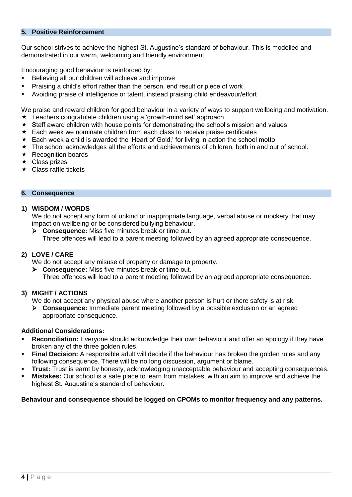#### **5. Positive Reinforcement**

Our school strives to achieve the highest St. Augustine's standard of behaviour. This is modelled and demonstrated in our warm, welcoming and friendly environment.

Encouraging good behaviour is reinforced by:

- Believing all our children will achieve and improve
- Praising a child's effort rather than the person, end result or piece of work
- Avoiding praise of intelligence or talent, instead praising child endeavour/effort

We praise and reward children for good behaviour in a variety of ways to support wellbeing and motivation.

- Teachers congratulate children using a 'growth-mind set' approach
- \* Staff award children with house points for demonstrating the school's mission and values
- $\star$  Each week we nominate children from each class to receive praise certificates
- \* Each week a child is awarded the 'Heart of Gold,' for living in action the school motto
- The school acknowledges all the efforts and achievements of children, both in and out of school.
- $\star$  Recognition boards
- $\star$  Class prizes
- $\star$  Class raffle tickets

#### **6. Consequence**

#### **1) WISDOM / WORDS**

We do not accept any form of unkind or inappropriate language, verbal abuse or mockery that may impact on wellbeing or be considered bullying behaviour.

 **Consequence:** Miss five minutes break or time out. Three offences will lead to a parent meeting followed by an agreed appropriate consequence.

#### **2) LOVE / CARE**

We do not accept any misuse of property or damage to property.

 **Consequence:** Miss five minutes break or time out. Three offences will lead to a parent meeting followed by an agreed appropriate consequence.

#### **3) MIGHT / ACTIONS**

We do not accept any physical abuse where another person is hurt or there safety is at risk.

 **Consequence:** Immediate parent meeting followed by a possible exclusion or an agreed appropriate consequence.

#### **Additional Considerations:**

- **Reconciliation:** Everyone should acknowledge their own behaviour and offer an apology if they have broken any of the three golden rules.
- **Final Decision:** A responsible adult will decide if the behaviour has broken the golden rules and any following consequence. There will be no long discussion, argument or blame.
- **Trust:** Trust is earnt by honesty, acknowledging unacceptable behaviour and accepting consequences.
- **Mistakes:** Our school is a safe place to learn from mistakes, with an aim to improve and achieve the highest St. Augustine's standard of behaviour.

#### **Behaviour and consequence should be logged on CPOMs to monitor frequency and any patterns.**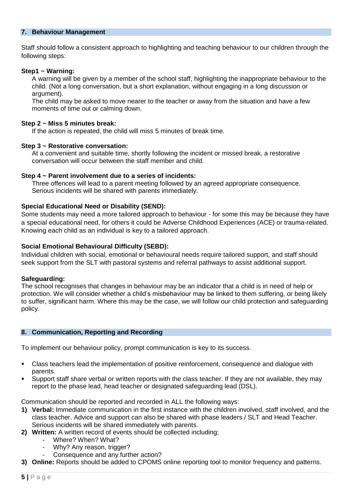#### **7. Behaviour Management**

Staff should follow a consistent approach to highlighting and teaching behaviour to our children through the following steps:

#### **Step1 ~ Warning:**

A warning will be given by a member of the school staff, highlighting the inappropriate behaviour to the child. (Not a long conversation, but a short explanation, without engaging in a long discussion or argument).

The child may be asked to move nearer to the teacher or away from the situation and have a few moments of time out or calming down.

#### **Step 2 ~ Miss 5 minutes break:**

If the action is repeated, the child will miss 5 minutes of break time.

#### **Step 3 ~ Restorative conversation:**

At a convenient and suitable time, shortly following the incident or missed break, a restorative conversation will occur between the staff member and child.

#### **Step 4 ~ Parent involvement due to a series of incidents:**

Three offences will lead to a parent meeting followed by an agreed appropriate consequence. Serious incidents will be shared with parents immediately.

#### **Special Educational Need or Disability (SEND):**

Some students may need a more tailored approach to behaviour - for some this may be because they have a special educational need, for others it could be Adverse Childhood Experiences (ACE) or trauma-related. Knowing each child as an individual is key to a tailored approach.

#### **Social Emotional Behavioural Difficulty (SEBD):**

Individual children with social, emotional or behavioural needs require tailored support, and staff should seek support from the SLT with pastoral systems and referral pathways to assist additional support.

#### **Safeguarding:**

The school recognises that changes in behaviour may be an indicator that a child is in need of help or protection. We will consider whether a child's misbehaviour may be linked to them suffering, or being likely to suffer, significant harm. Where this may be the case, we will follow our child protection and safeguarding policy.

#### **8. Communication, Reporting and Recording**

To implement our behaviour policy, prompt communication is key to its success.

- Class teachers lead the implementation of positive reinforcement, consequence and dialogue with parents.
- Support staff share verbal or written reports with the class teacher. If they are not available, they may report to the phase lead, head teacher or designated safeguarding lead (DSL).

Communication should be reported and recorded in ALL the following ways:

- **1) Verbal:** Immediate communication in the first instance with the children involved, staff involved, and the class teacher. Advice and support can also be shared with phase leaders / SLT and Head Teacher. Serious incidents will be shared immediately with parents.
- **2) Written:** A written record of events should be collected including;
	- Where? When? What?
	- Why? Any reason, trigger?
	- Consequence and any further action?
- **3) Online:** Reports should be added to CPOMS online reporting tool to monitor frequency and patterns.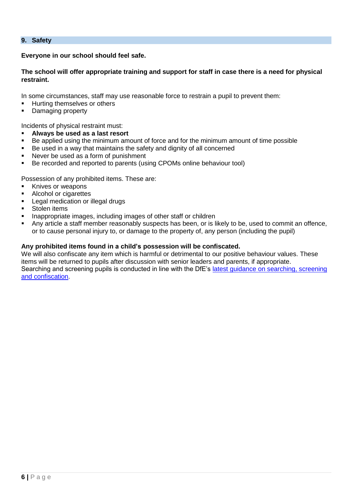**9. Safety**

**Everyone in our school should feel safe.**

**The school will offer appropriate training and support for staff in case there is a need for physical restraint.**

In some circumstances, staff may use reasonable force to restrain a pupil to prevent them:

- **Hurting themselves or others**
- Damaging property

Incidents of physical restraint must:

- **Always be used as a last resort**
- Be applied using the minimum amount of force and for the minimum amount of time possible
- Be used in a way that maintains the safety and dignity of all concerned
- Never be used as a form of punishment
- Be recorded and reported to parents (using CPOMs online behaviour tool)

Possession of any prohibited items. These are:

- Knives or weapons
- Alcohol or cigarettes
- Legal medication or illegal drugs
- Stolen items
- Inappropriate images, including images of other staff or children
- Any article a staff member reasonably suspects has been, or is likely to be, used to commit an offence, or to cause personal injury to, or damage to the property of, any person (including the pupil)

#### **Any prohibited items found in a child's possession will be confiscated.**

We will also confiscate any item which is harmful or detrimental to our positive behaviour values. These items will be returned to pupils after discussion with senior leaders and parents, if appropriate. Searching and screening pupils is conducted in line with the DfE's [latest guidance on searching, screening](https://www.gov.uk/government/publications/searching-screening-and-confiscation)  [and confiscation.](https://www.gov.uk/government/publications/searching-screening-and-confiscation)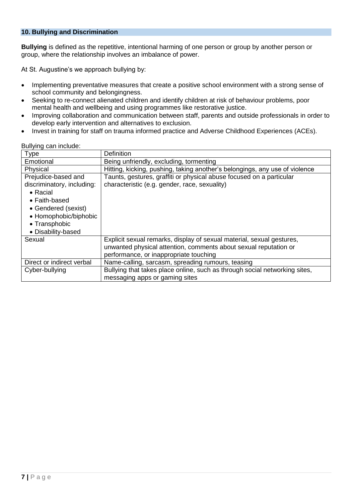#### **10. Bullying and Discrimination**

**Bullying** is defined as the repetitive, intentional harming of one person or group by another person or group, where the relationship involves an imbalance of power.

At St. Augustine's we approach bullying by:

- Implementing preventative measures that create a positive school environment with a strong sense of school community and belongingness.
- Seeking to re-connect alienated children and identify children at risk of behaviour problems, poor mental health and wellbeing and using programmes like restorative justice.
- Improving collaboration and communication between staff, parents and outside professionals in order to develop early intervention and alternatives to exclusion.
- Invest in training for staff on trauma informed practice and Adverse Childhood Experiences (ACEs).

| <b>Type</b>                | <b>Definition</b>                                                           |
|----------------------------|-----------------------------------------------------------------------------|
| Emotional                  | Being unfriendly, excluding, tormenting                                     |
| Physical                   | Hitting, kicking, pushing, taking another's belongings, any use of violence |
| Prejudice-based and        | Taunts, gestures, graffiti or physical abuse focused on a particular        |
| discriminatory, including: | characteristic (e.g. gender, race, sexuality)                               |
| • Racial                   |                                                                             |
| • Faith-based              |                                                                             |
| • Gendered (sexist)        |                                                                             |
| • Homophobic/biphobic      |                                                                             |
| • Transphobic              |                                                                             |
| • Disability-based         |                                                                             |
| Sexual                     | Explicit sexual remarks, display of sexual material, sexual gestures,       |
|                            | unwanted physical attention, comments about sexual reputation or            |
|                            | performance, or inappropriate touching                                      |
| Direct or indirect verbal  | Name-calling, sarcasm, spreading rumours, teasing                           |
| Cyber-bullying             | Bullying that takes place online, such as through social networking sites,  |
|                            | messaging apps or gaming sites                                              |

Bullying can include: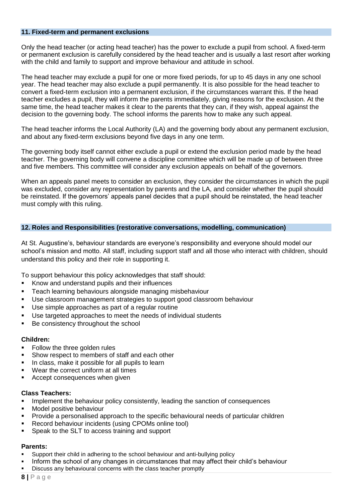#### **11. Fixed-term and permanent exclusions**

Only the head teacher (or acting head teacher) has the power to exclude a pupil from school. A fixed-term or permanent exclusion is carefully considered by the head teacher and is usually a last resort after working with the child and family to support and improve behaviour and attitude in school.

The head teacher may exclude a pupil for one or more fixed periods, for up to 45 days in any one school year. The head teacher may also exclude a pupil permanently. It is also possible for the head teacher to convert a fixed-term exclusion into a permanent exclusion, if the circumstances warrant this. If the head teacher excludes a pupil, they will inform the parents immediately, giving reasons for the exclusion. At the same time, the head teacher makes it clear to the parents that they can, if they wish, appeal against the decision to the governing body. The school informs the parents how to make any such appeal.

The head teacher informs the Local Authority (LA) and the governing body about any permanent exclusion, and about any fixed-term exclusions beyond five days in any one term.

The governing body itself cannot either exclude a pupil or extend the exclusion period made by the head teacher. The governing body will convene a discipline committee which will be made up of between three and five members. This committee will consider any exclusion appeals on behalf of the governors.

When an appeals panel meets to consider an exclusion, they consider the circumstances in which the pupil was excluded, consider any representation by parents and the LA, and consider whether the pupil should be reinstated. If the governors' appeals panel decides that a pupil should be reinstated, the head teacher must comply with this ruling.

#### **12. Roles and Responsibilities (restorative conversations, modelling, communication)**

At St. Augustine's, behaviour standards are everyone's responsibility and everyone should model our school's mission and motto. All staff, including support staff and all those who interact with children, should understand this policy and their role in supporting it.

To support behaviour this policy acknowledges that staff should:

- **Know and understand pupils and their influences**
- Teach learning behaviours alongside managing misbehaviour
- Use classroom management strategies to support good classroom behaviour
- Use simple approaches as part of a regular routine
- Use targeted approaches to meet the needs of individual students
- Be consistency throughout the school

#### **Children:**

- Follow the three golden rules
- Show respect to members of staff and each other
- In class, make it possible for all pupils to learn
- Wear the correct uniform at all times
- Accept consequences when given

#### **Class Teachers:**

- Implement the behaviour policy consistently, leading the sanction of consequences
- Model positive behaviour
- Provide a personalised approach to the specific behavioural needs of particular children
- Record behaviour incidents (using CPOMs online tool)
- Speak to the SLT to access training and support

#### **Parents:**

- Support their child in adhering to the school behaviour and anti-bullying policy
- Inform the school of any changes in circumstances that may affect their child's behaviour
- Discuss any behavioural concerns with the class teacher promptly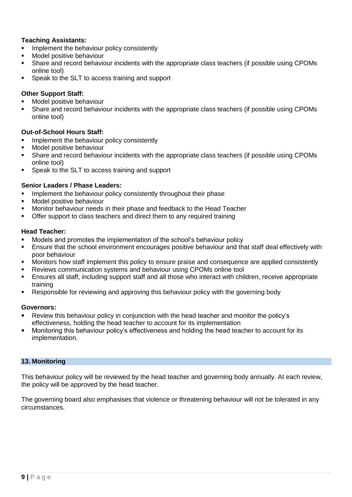#### **Teaching Assistants:**

- Implement the behaviour policy consistently
- Model positive behaviour
- Share and record behaviour incidents with the appropriate class teachers (if possible using CPOMs online tool)
- Speak to the SLT to access training and support

#### **Other Support Staff:**

- Model positive behaviour
- Share and record behaviour incidents with the appropriate class teachers (if possible using CPOMs online tool)

#### **Out-of-School Hours Staff:**

- Implement the behaviour policy consistently
- Model positive behaviour
- Share and record behaviour incidents with the appropriate class teachers (if possible using CPOMs online tool)
- Speak to the SLT to access training and support

#### **Senior Leaders / Phase Leaders:**

- Implement the behaviour policy consistently throughout their phase
- **Model positive behaviour**
- Monitor behaviour needs in their phase and feedback to the Head Teacher
- Offer support to class teachers and direct them to any required training

#### **Head Teacher:**

- Models and promotes the implementation of the school's behaviour policy
- Ensure that the school environment encourages positive behaviour and that staff deal effectively with poor behaviour
- Monitors how staff implement this policy to ensure praise and consequence are applied consistently
- Reviews communication systems and behaviour using CPOMs online tool
- Ensures all staff, including support staff and all those who interact with children, receive appropriate training
- Responsible for reviewing and approving this behaviour policy with the governing body

#### **Governors:**

- Review this behaviour policy in conjunction with the head teacher and monitor the policy's effectiveness, holding the head teacher to account for its implementation
- Monitoring this behaviour policy's effectiveness and holding the head teacher to account for its implementation.

#### **13. Monitoring**

This behaviour policy will be reviewed by the head teacher and governing body annually. At each review, the policy will be approved by the head teacher.

The governing board also emphasises that violence or threatening behaviour will not be tolerated in any circumstances.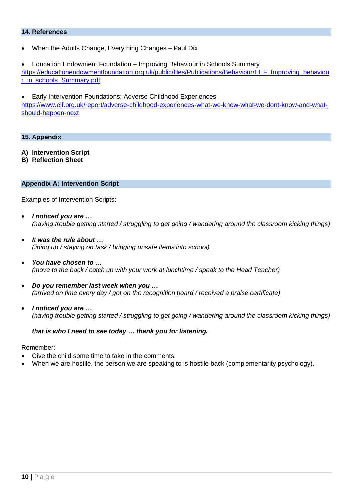#### **14. References**

When the Adults Change, Everything Changes – Paul Dix

 Education Endowment Foundation – Improving Behaviour in Schools Summary [https://educationendowmentfoundation.org.uk/public/files/Publications/Behaviour/EEF\\_Improving\\_behaviou](https://educationendowmentfoundation.org.uk/public/files/Publications/Behaviour/EEF_Improving_behaviour_in_schools_Summary.pdf) [r\\_in\\_schools\\_Summary.pdf](https://educationendowmentfoundation.org.uk/public/files/Publications/Behaviour/EEF_Improving_behaviour_in_schools_Summary.pdf)

 Early Intervention Foundations: Adverse Childhood Experiences [https://www.eif.org.uk/report/adverse-childhood-experiences-what-we-know-what-we-dont-know-and-what](https://www.eif.org.uk/report/adverse-childhood-experiences-what-we-know-what-we-dont-know-and-what-should-happen-next)[should-happen-next](https://www.eif.org.uk/report/adverse-childhood-experiences-what-we-know-what-we-dont-know-and-what-should-happen-next)

#### **15. Appendix**

- **A) Intervention Script**
- **B) Reflection Sheet**

#### **Appendix A: Intervention Script**

Examples of Intervention Scripts:

- *I noticed you are … (having trouble getting started / struggling to get going / wandering around the classroom kicking things)*
- *It was the rule about … (lining up / staying on task / bringing unsafe items into school)*
- *You have chosen to … (move to the back / catch up with your work at lunchtime / speak to the Head Teacher)*
- *Do you remember last week when you … (arrived on time every day / got on the recognition board / received a praise certificate)*
- *I noticed you are … (having trouble getting started / struggling to get going / wandering around the classroom kicking things)*

#### *that is who I need to see today … thank you for listening.*

Remember:

- Give the child some time to take in the comments.
- When we are hostile, the person we are speaking to is hostile back (complementarity psychology).